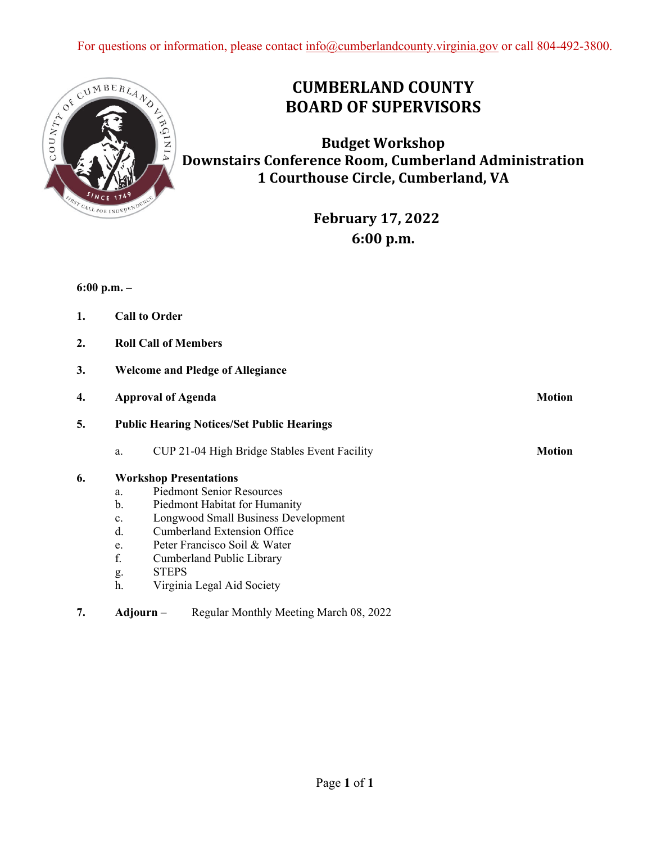

## **CUMBERLAND COUNTY BOARD OF SUPERVISORS**

**Budget Workshop Downstairs Conference Room, Cumberland Administration 1 Courthouse Circle, Cumberland, VA**

> **February 17, 2022 6:00 p.m.**

**6:00 p.m. –** 

| 1. | <b>Call to Order</b> |  |
|----|----------------------|--|
|    |                      |  |

- **2. Roll Call of Members**
- **3. Welcome and Pledge of Allegiance**

| 4. | <b>Approval of Agenda</b>                         |                                              | <b>Motion</b> |  |  |
|----|---------------------------------------------------|----------------------------------------------|---------------|--|--|
| 5. | <b>Public Hearing Notices/Set Public Hearings</b> |                                              |               |  |  |
|    | a.                                                | CUP 21-04 High Bridge Stables Event Facility | <b>Motion</b> |  |  |
| 6. |                                                   | <b>Workshop Presentations</b>                |               |  |  |
|    | a.                                                | <b>Piedmont Senior Resources</b>             |               |  |  |
|    | b.                                                | Piedmont Habitat for Humanity                |               |  |  |
|    | $\mathbf{c}$ .                                    | Longwood Small Business Development          |               |  |  |
|    | d.                                                | <b>Cumberland Extension Office</b>           |               |  |  |

- e. Peter Francisco Soil & Water
- f. Cumberland Public Library
- g. STEPS
- h. Virginia Legal Aid Society
- **7. Adjourn** Regular Monthly Meeting March 08, 2022